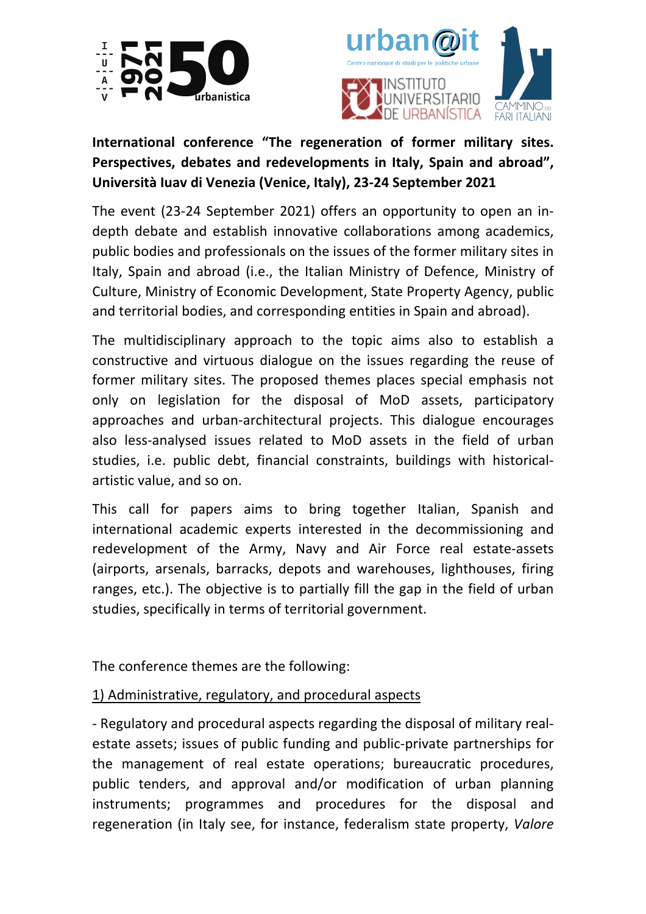



# **International conference "The regeneration of former military sites. Perspectives, debates and redevelopments in Italy, Spain and abroad", Università Iuav di Venezia (Venice, Italy), 23-24 September 2021**

The event (23-24 September 2021) offers an opportunity to open an indepth debate and establish innovative collaborations among academics, public bodies and professionals on the issues of the former military sites in Italy, Spain and abroad (i.e., the Italian Ministry of Defence, Ministry of Culture, Ministry of Economic Development, State Property Agency, public and territorial bodies, and corresponding entities in Spain and abroad).

The multidisciplinary approach to the topic aims also to establish a constructive and virtuous dialogue on the issues regarding the reuse of former military sites. The proposed themes places special emphasis not only on legislation for the disposal of MoD assets, participatory approaches and urban-architectural projects. This dialogue encourages also less-analysed issues related to MoD assets in the field of urban studies, i.e. public debt, financial constraints, buildings with historicalartistic value, and so on.

This call for papers aims to bring together Italian, Spanish and international academic experts interested in the decommissioning and redevelopment of the Army, Navy and Air Force real estate-assets (airports, arsenals, barracks, depots and warehouses, lighthouses, firing ranges, etc.). The objective is to partially fill the gap in the field of urban studies, specifically in terms of territorial government.

The conference themes are the following:

# 1) Administrative, regulatory, and procedural aspects

- Regulatory and procedural aspects regarding the disposal of military realestate assets; issues of public funding and public-private partnerships for the management of real estate operations; bureaucratic procedures, public tenders, and approval and/or modification of urban planning instruments; programmes and procedures for the disposal and regeneration (in Italy see, for instance, federalism state property, *Valore*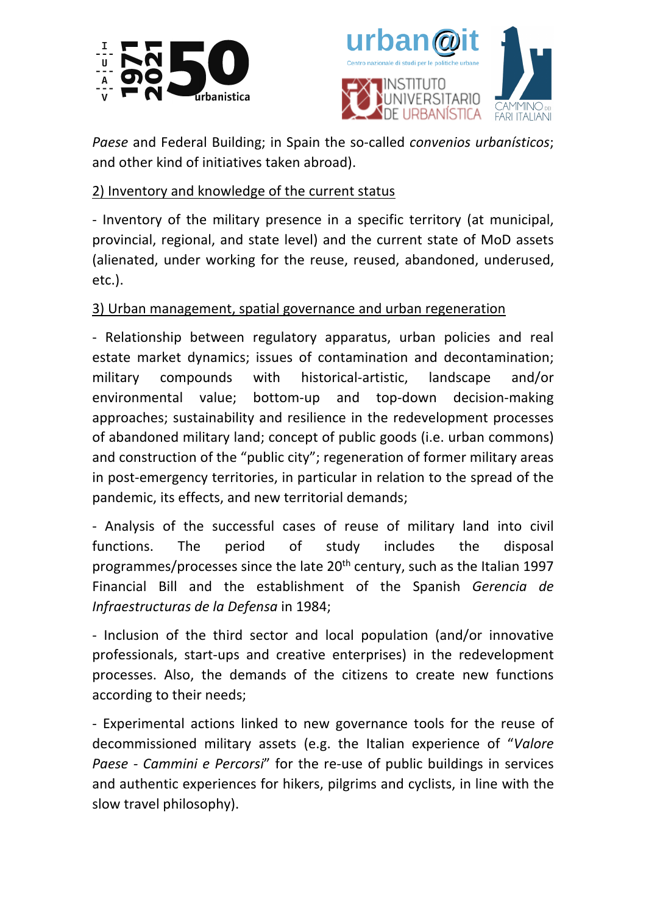



*Paese* and Federal Building; in Spain the so-called *convenios urbanísticos*; and other kind of initiatives taken abroad).

## 2) Inventory and knowledge of the current status

- Inventory of the military presence in a specific territory (at municipal, provincial, regional, and state level) and the current state of MoD assets (alienated, under working for the reuse, reused, abandoned, underused, etc.).

## 3) Urban management, spatial governance and urban regeneration

- Relationship between regulatory apparatus, urban policies and real estate market dynamics; issues of contamination and decontamination; military compounds with historical-artistic, landscape and/or environmental value; bottom-up and top-down decision-making approaches; sustainability and resilience in the redevelopment processes of abandoned military land; concept of public goods (i.e. urban commons) and construction of the "public city"; regeneration of former military areas in post-emergency territories, in particular in relation to the spread of the pandemic, its effects, and new territorial demands;

- Analysis of the successful cases of reuse of military land into civil functions. The period of study includes the disposal programmes/processes since the late 20<sup>th</sup> century, such as the Italian 1997 Financial Bill and the establishment of the Spanish *Gerencia de Infraestructuras de la Defensa* in 1984;

- Inclusion of the third sector and local population (and/or innovative professionals, start-ups and creative enterprises) in the redevelopment processes. Also, the demands of the citizens to create new functions according to their needs;

- Experimental actions linked to new governance tools for the reuse of decommissioned military assets (e.g. the Italian experience of "*Valore Paese - Cammini e Percorsi*" for the re-use of public buildings in services and authentic experiences for hikers, pilgrims and cyclists, in line with the slow travel philosophy).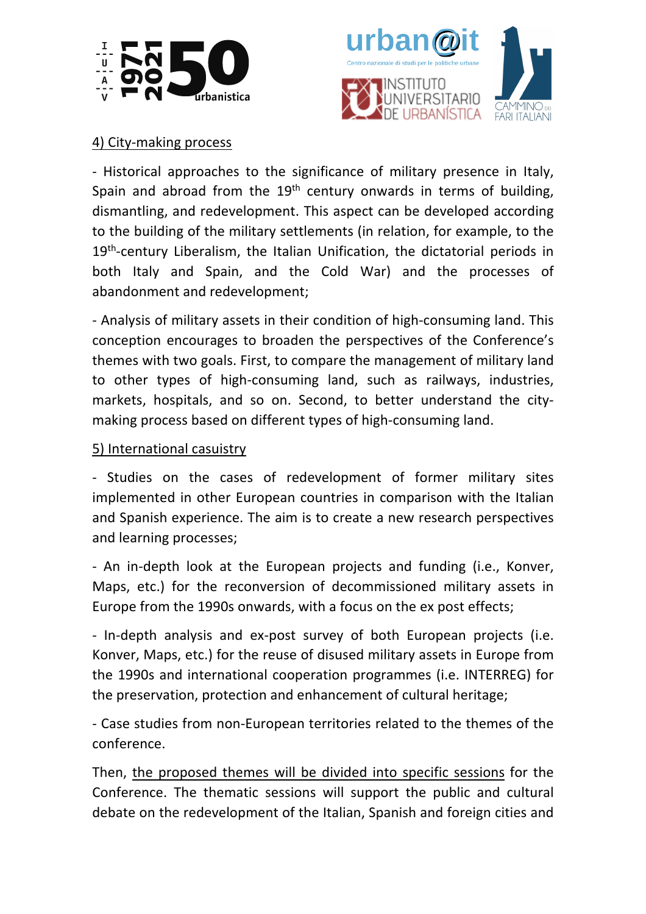



### 4) City-making process

- Historical approaches to the significance of military presence in Italy, Spain and abroad from the  $19<sup>th</sup>$  century onwards in terms of building, dismantling, and redevelopment. This aspect can be developed according to the building of the military settlements (in relation, for example, to the 19<sup>th</sup>-century Liberalism, the Italian Unification, the dictatorial periods in both Italy and Spain, and the Cold War) and the processes of abandonment and redevelopment;

- Analysis of military assets in their condition of high-consuming land. This conception encourages to broaden the perspectives of the Conference's themes with two goals. First, to compare the management of military land to other types of high-consuming land, such as railways, industries, markets, hospitals, and so on. Second, to better understand the citymaking process based on different types of high-consuming land.

### 5) International casuistry

- Studies on the cases of redevelopment of former military sites implemented in other European countries in comparison with the Italian and Spanish experience. The aim is to create a new research perspectives and learning processes;

- An in-depth look at the European projects and funding (i.e., Konver, Maps, etc.) for the reconversion of decommissioned military assets in Europe from the 1990s onwards, with a focus on the ex post effects;

- In-depth analysis and ex-post survey of both European projects (i.e. Konver, Maps, etc.) for the reuse of disused military assets in Europe from the 1990s and international cooperation programmes (i.e. INTERREG) for the preservation, protection and enhancement of cultural heritage;

- Case studies from non-European territories related to the themes of the conference.

Then, the proposed themes will be divided into specific sessions for the Conference. The thematic sessions will support the public and cultural debate on the redevelopment of the Italian, Spanish and foreign cities and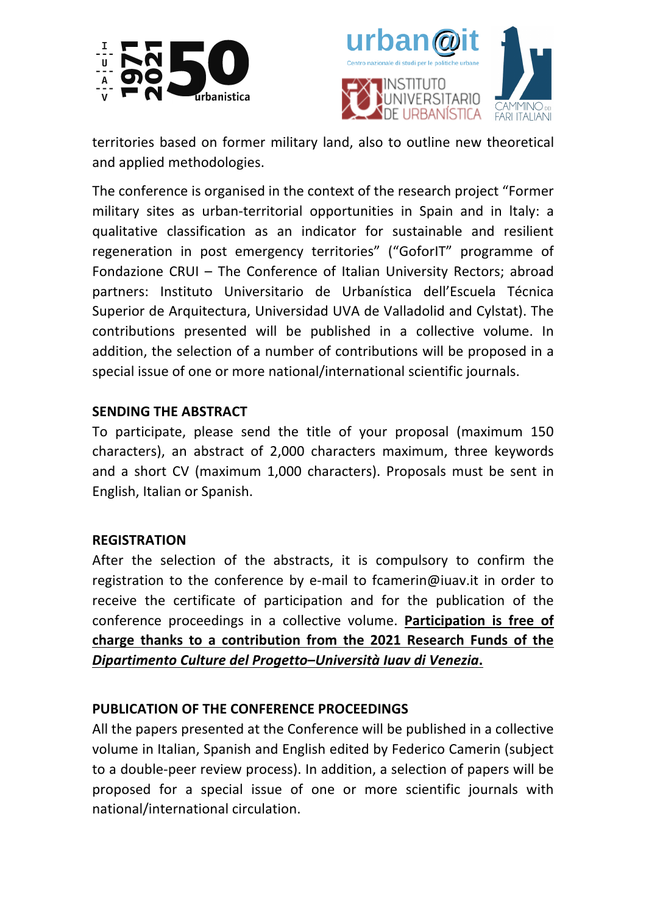



territories based on former military land, also to outline new theoretical and applied methodologies.

The conference is organised in the context of the research project "Former military sites as urban-territorial opportunities in Spain and in ltaly: a qualitative classification as an indicator for sustainable and resilient regeneration in post emergency territories" ("GoforIT" programme of Fondazione CRUI – The Conference of Italian University Rectors; abroad partners: Instituto Universitario de Urbanística dell'Escuela Técnica Superior de Arquitectura, Universidad UVA de Valladolid and Cylstat). The contributions presented will be published in a collective volume. In addition, the selection of a number of contributions will be proposed in a special issue of one or more national/international scientific journals.

### **SENDING THE ABSTRACT**

To participate, please send the title of your proposal (maximum 150 characters), an abstract of 2,000 characters maximum, three keywords and a short CV (maximum 1,000 characters). Proposals must be sent in English, Italian or Spanish.

#### **REGISTRATION**

After the selection of the abstracts, it is compulsory to confirm the registration to the conference by e-mail to fcamerin@iuav.it in order to receive the certificate of participation and for the publication of the conference proceedings in a collective volume. **Participation is free of charge thanks to a contribution from the 2021 Research Funds of the**  *Dipartimento Culture del Progetto***–***Università Iuav di Venezia***.**

### **PUBLICATION OF THE CONFERENCE PROCEEDINGS**

All the papers presented at the Conference will be published in a collective volume in Italian, Spanish and English edited by Federico Camerin (subject to a double-peer review process). In addition, a selection of papers will be proposed for a special issue of one or more scientific journals with national/international circulation.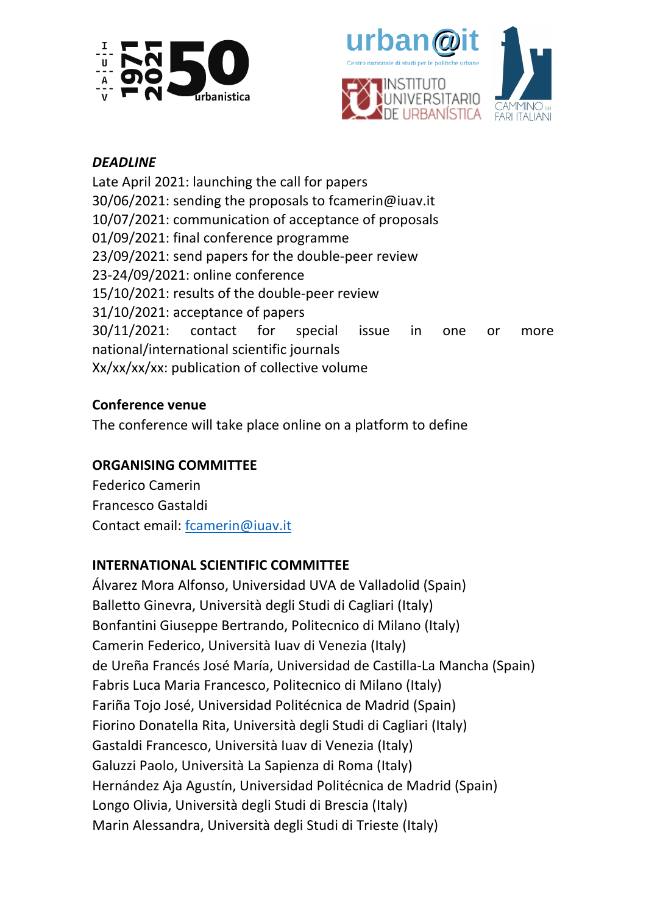



# *DEADLINE*

Late April 2021: launching the call for papers 30/06/2021: sending the proposals to fcamerin@iuav.it 10/07/2021: communication of acceptance of proposals 01/09/2021: final conference programme 23/09/2021: send papers for the double-peer review 23-24/09/2021: online conference 15/10/2021: results of the double-peer review 31/10/2021: acceptance of papers 30/11/2021: contact for special issue in one or more national/international scientific journals Xx/xx/xx/xx: publication of collective volume

## **Conference venue**

The conference will take place online on a platform to define

## **ORGANISING COMMITTEE**

Federico Camerin Francesco Gastaldi Contact email: fcamerin@iuav.it

# **INTERNATIONAL SCIENTIFIC COMMITTEE**

Álvarez Mora Alfonso, Universidad UVA de Valladolid (Spain) Balletto Ginevra, Università degli Studi di Cagliari (Italy) Bonfantini Giuseppe Bertrando, Politecnico di Milano (Italy) Camerin Federico, Università Iuav di Venezia (Italy) de Ureña Francés José María, Universidad de Castilla-La Mancha (Spain) Fabris Luca Maria Francesco, Politecnico di Milano (Italy) Fariña Tojo José, Universidad Politécnica de Madrid (Spain) Fiorino Donatella Rita, Università degli Studi di Cagliari (Italy) Gastaldi Francesco, Università Iuav di Venezia (Italy) Galuzzi Paolo, Università La Sapienza di Roma (Italy) Hernández Aja Agustín, Universidad Politécnica de Madrid (Spain) Longo Olivia, Università degli Studi di Brescia (Italy) Marin Alessandra, Università degli Studi di Trieste (Italy)